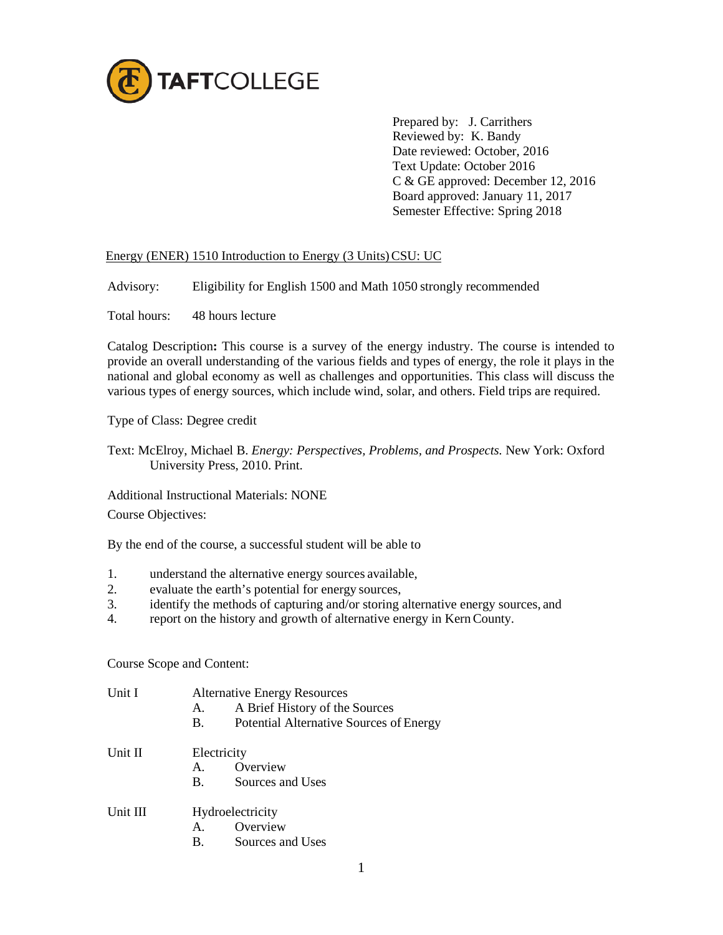

Prepared by: J. Carrithers Reviewed by: K. Bandy Date reviewed: October, 2016 Text Update: October 2016 C & GE approved: December 12, 2016 Board approved: January 11, 2017 Semester Effective: Spring 2018

## Energy (ENER) 1510 Introduction to Energy (3 Units) CSU: UC

Advisory: Eligibility for English 1500 and Math 1050 strongly recommended

Total hours: 48 hours lecture

Catalog Description**:** This course is a survey of the energy industry. The course is intended to provide an overall understanding of the various fields and types of energy, the role it plays in the national and global economy as well as challenges and opportunities. This class will discuss the various types of energy sources, which include wind, solar, and others. Field trips are required.

Type of Class: Degree credit

Text: McElroy, Michael B. *Energy: Perspectives, Problems, and Prospects.* New York: Oxford University Press, 2010. Print.

Additional Instructional Materials: NONE

Course Objectives:

By the end of the course, a successful student will be able to

- 1. understand the alternative energy sources available,
- 2. evaluate the earth's potential for energy sources,
- 3. identify the methods of capturing and/or storing alternative energy sources, and
- 4. report on the history and growth of alternative energy in KernCounty.

Course Scope and Content:

| Unit I   | A.<br><b>B.</b>  | <b>Alternative Energy Resources</b><br>A Brief History of the Sources<br>Potential Alternative Sources of Energy |  |
|----------|------------------|------------------------------------------------------------------------------------------------------------------|--|
| Unit II  | Electricity      |                                                                                                                  |  |
|          | A.               | Overview                                                                                                         |  |
|          | <b>B.</b>        | Sources and Uses                                                                                                 |  |
| Unit III | Hydroelectricity |                                                                                                                  |  |
|          | $A_{1}$          | Overview                                                                                                         |  |
|          | $\mathbf{B}$ .   | Sources and Uses                                                                                                 |  |
|          |                  |                                                                                                                  |  |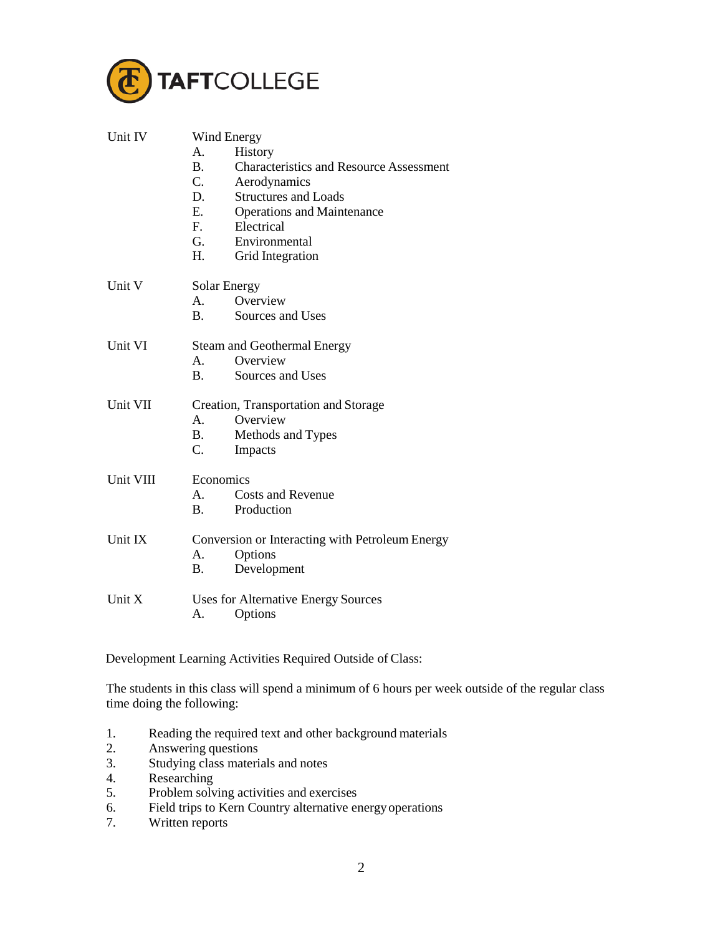

| Unit IV   | Wind Energy                                                 |  |  |  |
|-----------|-------------------------------------------------------------|--|--|--|
|           | History<br>A.                                               |  |  |  |
|           | <b>B.</b><br><b>Characteristics and Resource Assessment</b> |  |  |  |
|           | $\mathbf{C}$ .<br>Aerodynamics                              |  |  |  |
|           | D.<br><b>Structures and Loads</b>                           |  |  |  |
|           | E.<br><b>Operations and Maintenance</b>                     |  |  |  |
|           | F.<br>Electrical                                            |  |  |  |
|           | G.<br>Environmental                                         |  |  |  |
|           | Н.<br>Grid Integration                                      |  |  |  |
| Unit V    | Solar Energy                                                |  |  |  |
|           | Overview<br>A.                                              |  |  |  |
|           | <b>B.</b><br>Sources and Uses                               |  |  |  |
| Unit VI   | <b>Steam and Geothermal Energy</b>                          |  |  |  |
|           | Overview<br>A.                                              |  |  |  |
|           | <b>B.</b><br>Sources and Uses                               |  |  |  |
| Unit VII  | Creation, Transportation and Storage                        |  |  |  |
|           | Overview<br>A.                                              |  |  |  |
|           | <b>B.</b><br>Methods and Types                              |  |  |  |
|           | C.<br>Impacts                                               |  |  |  |
| Unit VIII | Economics                                                   |  |  |  |
|           | <b>Costs and Revenue</b><br>$A_{\cdot}$                     |  |  |  |
|           | $\mathbf{B}$ .<br>Production                                |  |  |  |
| Unit IX   | Conversion or Interacting with Petroleum Energy             |  |  |  |
|           | Options<br>А.                                               |  |  |  |
|           | Development<br>Β.                                           |  |  |  |
| Unit X    | Uses for Alternative Energy Sources                         |  |  |  |
|           | Options<br>А.                                               |  |  |  |

Development Learning Activities Required Outside of Class:

The students in this class will spend a minimum of 6 hours per week outside of the regular class time doing the following:

- 1. Reading the required text and other background materials
- 2. Answering questions
- 3. Studying class materials and notes
- 4. Researching<br>5. Problem solv
- 5. Problem solving activities and exercises
- 6. Field trips to Kern Country alternative energy operations
- 7. Written reports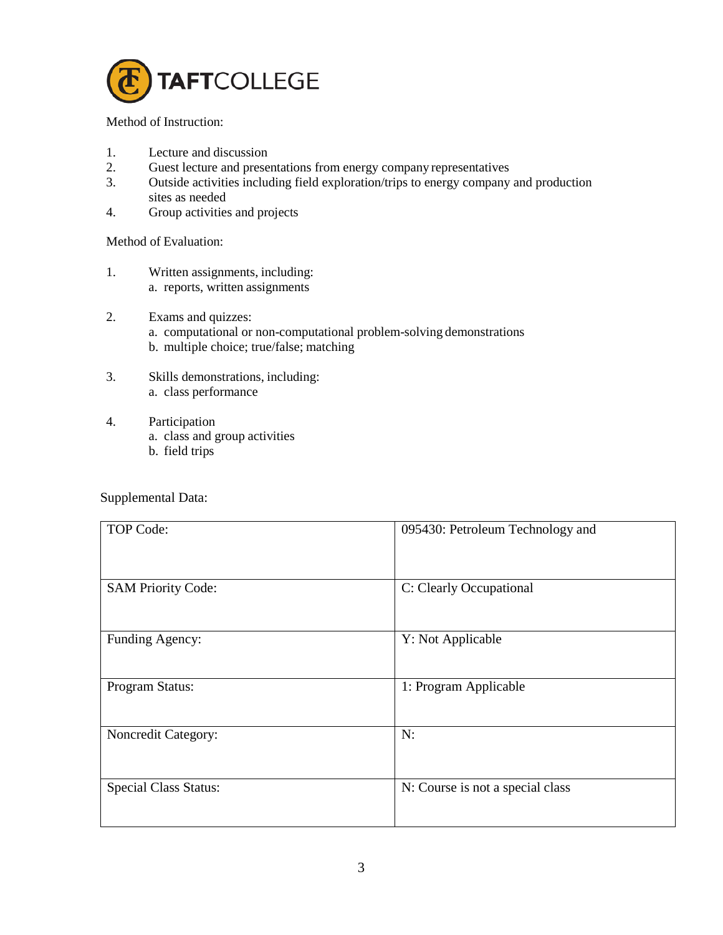

Method of Instruction:

- 1. Lecture and discussion
- 2. Guest lecture and presentations from energy company representatives<br>3. Outside activities including field exploration/trips to energy company
- Outside activities including field exploration/trips to energy company and production sites as needed
- 4. Group activities and projects

Method of Evaluation:

- 1. Written assignments, including: a. reports, written assignments
- 2. Exams and quizzes:
	- a. computational or non-computational problem-solving demonstrations
	- b. multiple choice; true/false; matching
- 3. Skills demonstrations, including: a. class performance
- 4. Participation
	- a. class and group activities
	- b. field trips

Supplemental Data:

| TOP Code:                    | 095430: Petroleum Technology and |
|------------------------------|----------------------------------|
| <b>SAM Priority Code:</b>    | C: Clearly Occupational          |
| Funding Agency:              | Y: Not Applicable                |
| Program Status:              | 1: Program Applicable            |
| Noncredit Category:          | N:                               |
| <b>Special Class Status:</b> | N: Course is not a special class |